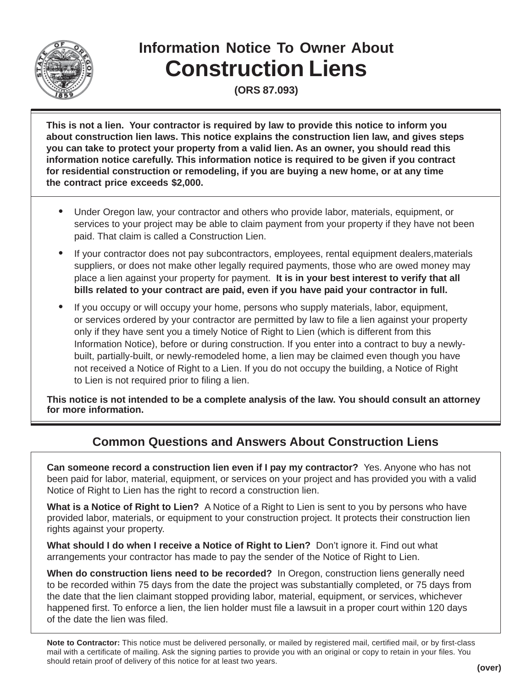

## **Information Notice To Owner About Construction Liens**

**(ORS 87.093)**

**This is not a lien. Your contractor is required by law to provide this notice to inform you about construction lien laws. This notice explains the construction lien law, and gives steps you can take to protect your property from a valid lien. As an owner, you should read this information notice carefully. This information notice is required to be given if you contract for residential construction or remodeling, if you are buying a new home, or at any time the contract price exceeds \$2,000.**

- Under Oregon law, your contractor and others who provide labor, materials, equipment, or services to your project may be able to claim payment from your property if they have not been paid. That claim is called a Construction Lien.
- If your contractor does not pay subcontractors, employees, rental equipment dealers, materials suppliers, or does not make other legally required payments, those who are owed money may place a lien against your property for payment. **It is in your best interest to verify that all bills related to your contract are paid, even if you have paid your contractor in full.**
- If you occupy or will occupy your home, persons who supply materials, labor, equipment, or services ordered by your contractor are permitted by law to file a lien against your property only if they have sent you a timely Notice of Right to Lien (which is different from this Information Notice), before or during construction. If you enter into a contract to buy a newlybuilt, partially-built, or newly-remodeled home, a lien may be claimed even though you have not received a Notice of Right to a Lien. If you do not occupy the building, a Notice of Right to Lien is not required prior to filing a lien.

**This notice is not intended to be a complete analysis of the law. You should consult an attorney for more information.**

### **Common Questions and Answers About Construction Liens**

**Can someone record a construction lien even if I pay my contractor?** Yes. Anyone who has not been paid for labor, material, equipment, or services on your project and has provided you with a valid Notice of Right to Lien has the right to record a construction lien.

**What is a Notice of Right to Lien?** A Notice of a Right to Lien is sent to you by persons who have provided labor, materials, or equipment to your construction project. It protects their construction lien rights against your property.

**What should I do when I receive a Notice of Right to Lien?** Don't ignore it. Find out what arrangements your contractor has made to pay the sender of the Notice of Right to Lien.

**When do construction liens need to be recorded?** In Oregon, construction liens generally need to be recorded within 75 days from the date the project was substantially completed, or 75 days from the date that the lien claimant stopped providing labor, material, equipment, or services, whichever happened first. To enforce a lien, the lien holder must file a lawsuit in a proper court within 120 days of the date the lien was filed.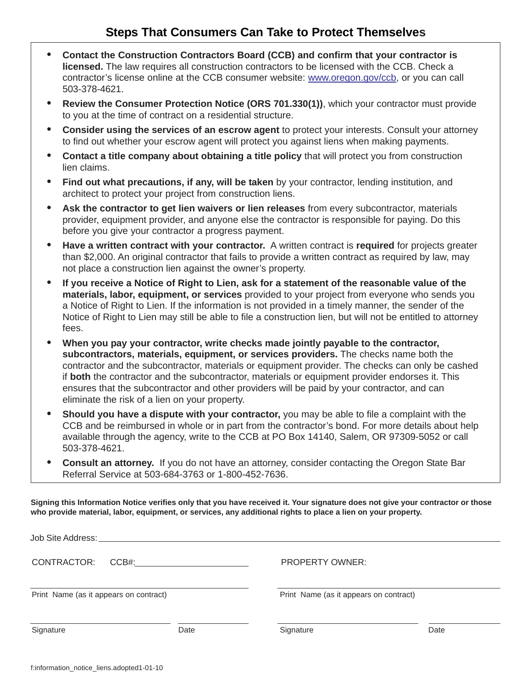### **Steps That Consumers Can Take to Protect Themselves**

- **Contact the Construction Contractors Board (CCB) and confirm that your contractor is licensed.** The law requires all construction contractors to be licensed with the CCB. Check a contractor's license online at the CCB consumer website: www.oregon.gov/ccb, or you can call 503-378-4621.
- **Review the Consumer Protection Notice (ORS 701.330(1))**, which your contractor must provide to you at the time of contract on a residential structure.
- **Consider using the services of an escrow agent** to protect your interests. Consult your attorney to find out whether your escrow agent will protect you against liens when making payments.
- **Contact a title company about obtaining a title policy** that will protect you from construction lien claims.
- **Find out what precautions, if any, will be taken** by your contractor, lending institution, and architect to protect your project from construction liens.
- **Ask the contractor to get lien waivers or lien releases** from every subcontractor, materials provider, equipment provider, and anyone else the contractor is responsible for paying. Do this before you give your contractor a progress payment.
- **Have a written contract with your contractor.** A written contract is **required** for projects greater than \$2,000. An original contractor that fails to provide a written contract as required by law, may not place a construction lien against the owner's property.
- **If you receive a Notice of Right to Lien, ask for a statement of the reasonable value of the materials, labor, equipment, or services** provided to your project from everyone who sends you a Notice of Right to Lien. If the information is not provided in a timely manner, the sender of the Notice of Right to Lien may still be able to file a construction lien, but will not be entitled to attorney fees.
- **When you pay your contractor, write checks made jointly payable to the contractor, subcontractors, materials, equipment, or services providers.** The checks name both the contractor and the subcontractor, materials or equipment provider. The checks can only be cashed if **both** the contractor and the subcontractor, materials or equipment provider endorses it. This ensures that the subcontractor and other providers will be paid by your contractor, and can eliminate the risk of a lien on your property.
- **Should you have a dispute with your contractor,** you may be able to file a complaint with the CCB and be reimbursed in whole or in part from the contractor's bond. For more details about help available through the agency, write to the CCB at PO Box 14140, Salem, OR 97309-5052 or call 503-378-4621.
- **Consult an attorney.** If you do not have an attorney, consider contacting the Oregon State Bar Referral Service at 503-684-3763 or 1-800-452-7636.

**Signing this Information Notice verifies only that you have received it. Your signature does not give your contractor or those who provide material, labor, equipment, or services, any additional rights to place a lien on your property.**

| CONTRACTOR:                            |      | <b>PROPERTY OWNER:</b>                 |      |
|----------------------------------------|------|----------------------------------------|------|
| Print Name (as it appears on contract) |      | Print Name (as it appears on contract) |      |
| Signature                              | Date | Signature                              | Date |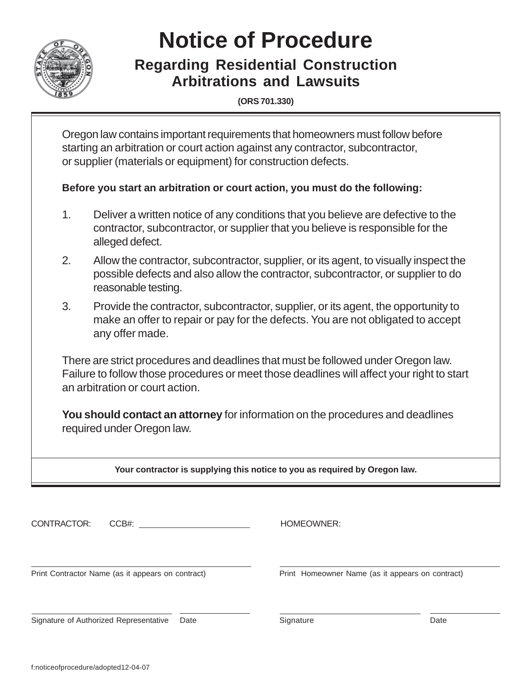

# **Notice of Procedure**

### **Regarding Residential Construction Arbitrations and Lawsuits**

**(ORS 701.330)**

Oregon law contains important requirements that homeowners must follow before starting an arbitration or court action against any contractor, subcontractor, or supplier (materials or equipment) for construction defects.

#### **Before you start an arbitration or court action, you must do the following:**

- 1. Deliver a written notice of any conditions that you believe are defective to the contractor, subcontractor, or supplier that you believe is responsible for the alleged defect.
- 2. Allow the contractor, subcontractor, supplier, or its agent, to visually inspect the possible defects and also allow the contractor, subcontractor, or supplier to do reasonable testing.
- 3. Provide the contractor, subcontractor, supplier, or its agent, the opportunity to make an offer to repair or pay for the defects. You are not obligated to accept any offer made.

There are strict procedures and deadlines that must be followed under Oregon law. Failure to follow those procedures or meet those deadlines will affect your right to start an arbitration or court action.

**You should contact an attorney** for information on the procedures and deadlines required under Oregon law.

**Your contractor is supplying this notice to you as required by Oregon law.**

CONTRACTOR: CCB#: The CONTRACTOR: CCB#: The CONTRACTOR: The CONTRACTOR: The CONTRACTOR: The CONTROL CONTROL CONTR

Print Contractor Name (as it appears on contract) Print Homeowner Name (as it appears on contract)

Signature of Authorized Representative Date **Signature** Signature **Signature** Date